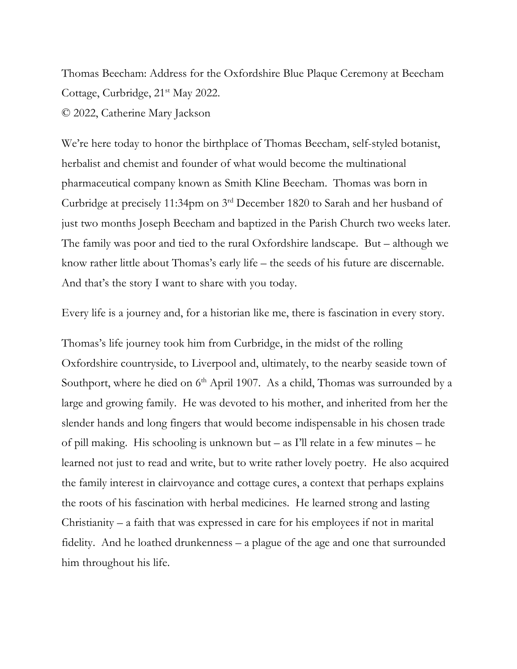Thomas Beecham: Address for the Oxfordshire Blue Plaque Ceremony at Beecham Cottage, Curbridge, 21<sup>st</sup> May 2022. © 2022, Catherine Mary Jackson

We're here today to honor the birthplace of Thomas Beecham, self-styled botanist, herbalist and chemist and founder of what would become the multinational pharmaceutical company known as Smith Kline Beecham. Thomas was born in Curbridge at precisely 11:34pm on 3rd December 1820 to Sarah and her husband of just two months Joseph Beecham and baptized in the Parish Church two weeks later. The family was poor and tied to the rural Oxfordshire landscape. But – although we know rather little about Thomas's early life – the seeds of his future are discernable. And that's the story I want to share with you today.

Every life is a journey and, for a historian like me, there is fascination in every story.

Thomas's life journey took him from Curbridge, in the midst of the rolling Oxfordshire countryside, to Liverpool and, ultimately, to the nearby seaside town of Southport, where he died on 6<sup>th</sup> April 1907. As a child, Thomas was surrounded by a large and growing family. He was devoted to his mother, and inherited from her the slender hands and long fingers that would become indispensable in his chosen trade of pill making. His schooling is unknown but – as I'll relate in a few minutes – he learned not just to read and write, but to write rather lovely poetry. He also acquired the family interest in clairvoyance and cottage cures, a context that perhaps explains the roots of his fascination with herbal medicines. He learned strong and lasting Christianity – a faith that was expressed in care for his employees if not in marital fidelity. And he loathed drunkenness – a plague of the age and one that surrounded him throughout his life.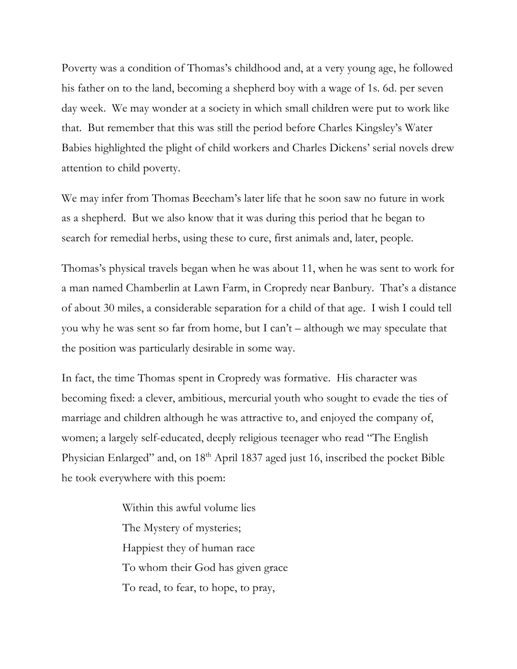Poverty was a condition of Thomas's childhood and, at a very young age, he followed his father on to the land, becoming a shepherd boy with a wage of 1s. 6d. per seven day week. We may wonder at a society in which small children were put to work like that. But remember that this was still the period before Charles Kingsley's Water Babies highlighted the plight of child workers and Charles Dickens' serial novels drew attention to child poverty.

We may infer from Thomas Beecham's later life that he soon saw no future in work as a shepherd. But we also know that it was during this period that he began to search for remedial herbs, using these to cure, first animals and, later, people.

Thomas's physical travels began when he was about 11, when he was sent to work for a man named Chamberlin at Lawn Farm, in Cropredy near Banbury. That's a distance of about 30 miles, a considerable separation for a child of that age. I wish I could tell you why he was sent so far from home, but I can't – although we may speculate that the position was particularly desirable in some way.

In fact, the time Thomas spent in Cropredy was formative. His character was becoming fixed: a clever, ambitious, mercurial youth who sought to evade the ties of marriage and children although he was attractive to, and enjoyed the company of, women; a largely self-educated, deeply religious teenager who read "The English Physician Enlarged" and, on 18<sup>th</sup> April 1837 aged just 16, inscribed the pocket Bible he took everywhere with this poem:

> Within this awful volume lies The Mystery of mysteries; Happiest they of human race To whom their God has given grace To read, to fear, to hope, to pray,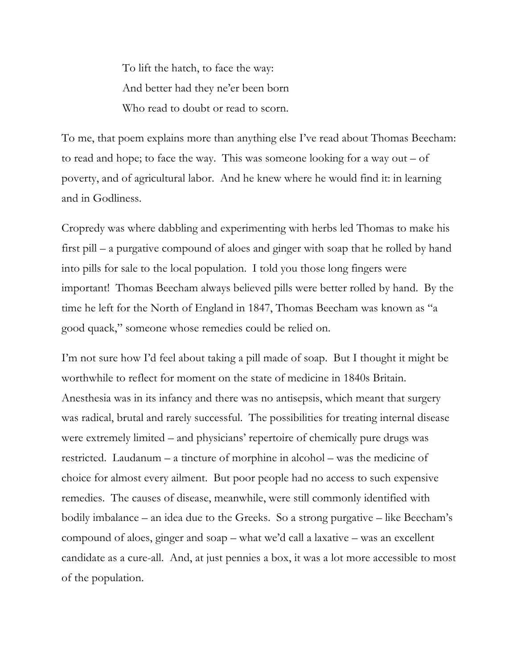To lift the hatch, to face the way: And better had they ne'er been born Who read to doubt or read to scorn.

To me, that poem explains more than anything else I've read about Thomas Beecham: to read and hope; to face the way. This was someone looking for a way out  $-$  of poverty, and of agricultural labor. And he knew where he would find it: in learning and in Godliness.

Cropredy was where dabbling and experimenting with herbs led Thomas to make his first pill – a purgative compound of aloes and ginger with soap that he rolled by hand into pills for sale to the local population. I told you those long fingers were important! Thomas Beecham always believed pills were better rolled by hand. By the time he left for the North of England in 1847, Thomas Beecham was known as "a good quack," someone whose remedies could be relied on.

I'm not sure how I'd feel about taking a pill made of soap. But I thought it might be worthwhile to reflect for moment on the state of medicine in 1840s Britain. Anesthesia was in its infancy and there was no antisepsis, which meant that surgery was radical, brutal and rarely successful. The possibilities for treating internal disease were extremely limited – and physicians' repertoire of chemically pure drugs was restricted. Laudanum – a tincture of morphine in alcohol – was the medicine of choice for almost every ailment. But poor people had no access to such expensive remedies. The causes of disease, meanwhile, were still commonly identified with bodily imbalance – an idea due to the Greeks. So a strong purgative – like Beecham's compound of aloes, ginger and soap – what we'd call a laxative – was an excellent candidate as a cure-all. And, at just pennies a box, it was a lot more accessible to most of the population.